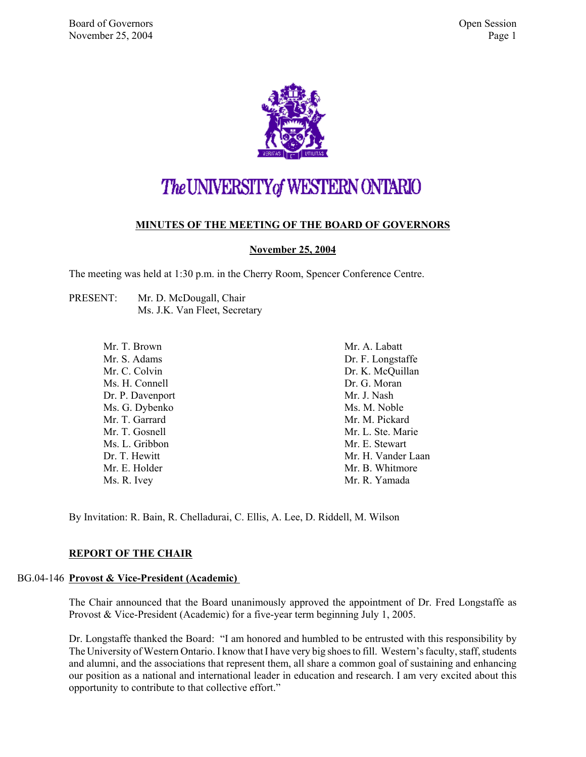

### The UNIVERSITY of WESTERN ONTARIO

#### **MINUTES OF THE MEETING OF THE BOARD OF GOVERNORS**

#### **November 25, 2004**

The meeting was held at 1:30 p.m. in the Cherry Room, Spencer Conference Centre.

PRESENT: Mr. D. McDougall, Chair Ms. J.K. Van Fleet, Secretary

> Mr. T. Brown Mr. S. Adams Mr. C. Colvin Ms. H. Connell Dr. P. Davenport Ms. G. Dybenko Mr. T. Garrard Mr. T. Gosnell Ms. L. Gribbon Dr. T. Hewitt Mr. E. Holder Ms. R. Ivey

Mr. A. Labatt Dr. F. Longstaffe Dr. K. McQuillan Dr. G. Moran Mr. J. Nash Ms. M. Noble Mr. M. Pickard Mr. L. Ste. Marie Mr. E. Stewart Mr. H. Vander Laan Mr. B. Whitmore Mr. R. Yamada

By Invitation: R. Bain, R. Chelladurai, C. Ellis, A. Lee, D. Riddell, M. Wilson

#### **REPORT OF THE CHAIR**

#### BG.04-146 **Provost & Vice-President (Academic)**

The Chair announced that the Board unanimously approved the appointment of Dr. Fred Longstaffe as Provost & Vice-President (Academic) for a five-year term beginning July 1, 2005.

Dr. Longstaffe thanked the Board: "I am honored and humbled to be entrusted with this responsibility by The University of Western Ontario. I know that I have very big shoes to fill. Western's faculty, staff, students and alumni, and the associations that represent them, all share a common goal of sustaining and enhancing our position as a national and international leader in education and research. I am very excited about this opportunity to contribute to that collective effort."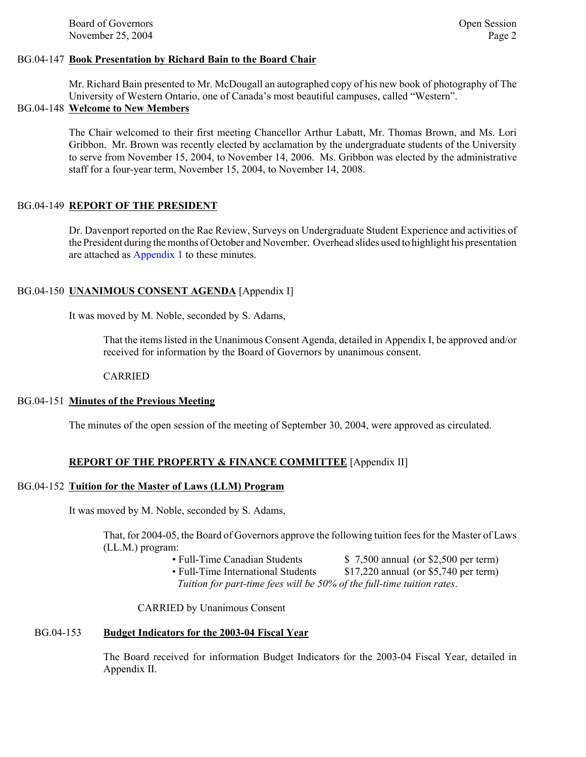#### BG.04-147 **Book Presentation by Richard Bain to the Board Chair**

Mr. Richard Bain presented to Mr. McDougall an autographed copy of his new book of photography of The University of Western Ontario, one of Canada's most beautiful campuses, called "Western".

#### BG.04-148 **Welcome to New Members**

The Chair welcomed to their first meeting Chancellor Arthur Labatt, Mr. Thomas Brown, and Ms. Lori Gribbon. Mr. Brown was recently elected by acclamation by the undergraduate students of the University to serve from November 15, 2004, to November 14, 2006. Ms. Gribbon was elected by the administrative staff for a four-year term, November 15, 2004, to November 14, 2008.

#### BG.04-149 **REPORT OF THE PRESIDENT**

Dr. Davenport reported on the Rae Review, Surveys on Undergraduate Student Experience and activities of the President during the months of October and November. Overhead slides used to highlight his presentation are attached as [Appendix 1 to](#page-5-0) these minutes.

#### BG.04-150 **UNANIMOUS CONSENT AGENDA** [Appendix I]

It was moved by M. Noble, seconded by S. Adams,

That the items listed in the Unanimous Consent Agenda, detailed in Appendix I, be approved and/or received for information by the Board of Governors by unanimous consent.

CARRIED

#### BG.04-151 **Minutes of the Previous Meeting**

The minutes of the open session of the meeting of September 30, 2004, were approved as circulated.

#### **REPORT OF THE PROPERTY & FINANCE COMMITTEE** [Appendix II]

#### BG.04-152 **Tuition for the Master of Laws (LLM) Program**

It was moved by M. Noble, seconded by S. Adams,

That, for 2004-05, the Board of Governors approve the following tuition fees for the Master of Laws (LL.M.) program:

- Full-Time Canadian Students \$7,500 annual (or \$2,500 per term)
- Full-Time International Students \$17,220 annual (or \$5,740 per term)

*Tuition for part-time fees will be 50% of the full-time tuition rates*.

CARRIED by Unanimous Consent

#### BG.04-153 **Budget Indicators for the 2003-04 Fiscal Year**

The Board received for information Budget Indicators for the 2003-04 Fiscal Year, detailed in Appendix II.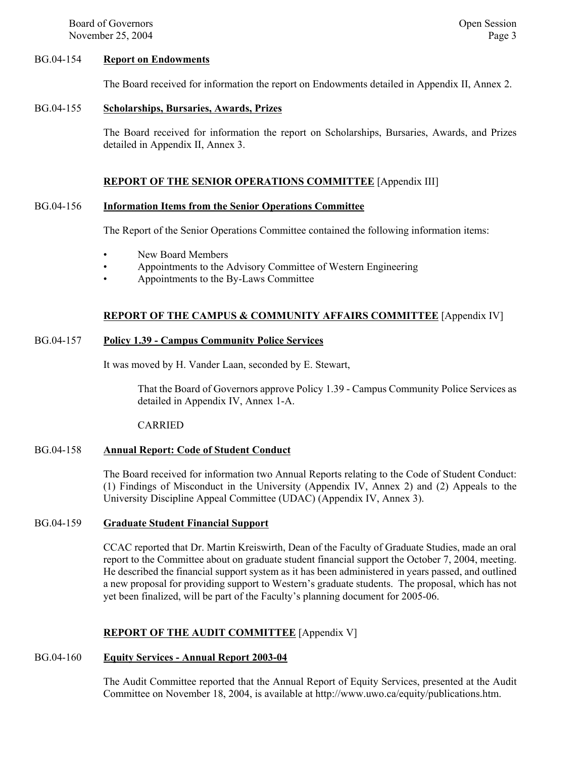Board of Governors **Open Session** Open Session November 25, 2004 Page 3

#### BG.04-154 **Report on Endowments**

The Board received for information the report on Endowments detailed in Appendix II, Annex 2.

#### BG.04-155 **Scholarships, Bursaries, Awards, Prizes**

The Board received for information the report on Scholarships, Bursaries, Awards, and Prizes detailed in Appendix II, Annex 3.

#### **REPORT OF THE SENIOR OPERATIONS COMMITTEE** [Appendix III]

#### BG.04-156 **Information Items from the Senior Operations Committee**

The Report of the Senior Operations Committee contained the following information items:

- New Board Members
- Appointments to the Advisory Committee of Western Engineering
- Appointments to the By-Laws Committee

#### **REPORT OF THE CAMPUS & COMMUNITY AFFAIRS COMMITTEE** [Appendix IV]

#### BG.04-157 **Policy 1.39 - Campus Community Police Services**

It was moved by H. Vander Laan, seconded by E. Stewart,

That the Board of Governors approve Policy 1.39 - Campus Community Police Services as detailed in Appendix IV, Annex 1-A.

CARRIED

#### BG.04-158 **Annual Report: Code of Student Conduct**

The Board received for information two Annual Reports relating to the Code of Student Conduct: (1) Findings of Misconduct in the University (Appendix IV, Annex 2) and (2) Appeals to the University Discipline Appeal Committee (UDAC) (Appendix IV, Annex 3).

#### BG.04-159 **Graduate Student Financial Support**

CCAC reported that Dr. Martin Kreiswirth, Dean of the Faculty of Graduate Studies, made an oral report to the Committee about on graduate student financial support the October 7, 2004, meeting. He described the financial support system as it has been administered in years passed, and outlined a new proposal for providing support to Western's graduate students. The proposal, which has not yet been finalized, will be part of the Faculty's planning document for 2005-06.

#### **REPORT OF THE AUDIT COMMITTEE** [Appendix V]

#### BG.04-160 **Equity Services - Annual Report 2003-04**

The Audit Committee reported that the Annual Report of Equity Services, presented at the Audit Committee on November 18, 2004, is available at http://www.uwo.ca/equity/publications.htm.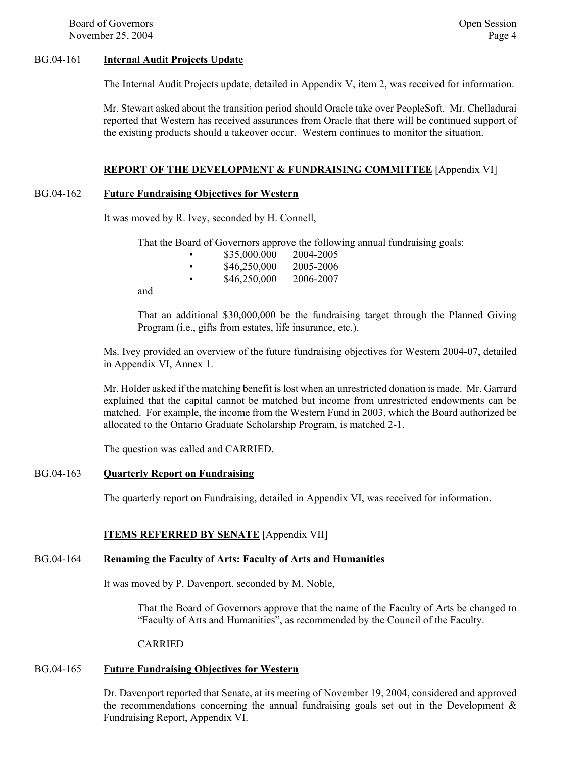Board of Governors **Open Session** Open Session November 25, 2004 Page 4

#### BG.04-161 **Internal Audit Projects Update**

The Internal Audit Projects update, detailed in Appendix V, item 2, was received for information.

Mr. Stewart asked about the transition period should Oracle take over PeopleSoft. Mr. Chelladurai reported that Western has received assurances from Oracle that there will be continued support of the existing products should a takeover occur. Western continues to monitor the situation.

#### **REPORT OF THE DEVELOPMENT & FUNDRAISING COMMITTEE** [Appendix VI]

#### BG.04-162 **Future Fundraising Objectives for Western**

It was moved by R. Ivey, seconded by H. Connell,

That the Board of Governors approve the following annual fundraising goals:

|   | \$35,000,000 | 2004-2005 |
|---|--------------|-----------|
| ٠ | \$46,250,000 | 2005-2006 |
| ٠ | \$46,250,000 | 2006-2007 |

and

That an additional \$30,000,000 be the fundraising target through the Planned Giving Program (i.e., gifts from estates, life insurance, etc.).

Ms. Ivey provided an overview of the future fundraising objectives for Western 2004-07, detailed in Appendix VI, Annex 1.

Mr. Holder asked if the matching benefit is lost when an unrestricted donation is made. Mr. Garrard explained that the capital cannot be matched but income from unrestricted endowments can be matched. For example, the income from the Western Fund in 2003, which the Board authorized be allocated to the Ontario Graduate Scholarship Program, is matched 2-1.

The question was called and CARRIED.

#### BG.04-163 **Quarterly Report on Fundraising**

The quarterly report on Fundraising, detailed in Appendix VI, was received for information.

#### **ITEMS REFERRED BY SENATE** [Appendix VII]

#### BG.04-164 **Renaming the Faculty of Arts: Faculty of Arts and Humanities**

It was moved by P. Davenport, seconded by M. Noble,

That the Board of Governors approve that the name of the Faculty of Arts be changed to "Faculty of Arts and Humanities", as recommended by the Council of the Faculty.

CARRIED

#### BG.04-165 **Future Fundraising Objectives for Western**

Dr. Davenport reported that Senate, at its meeting of November 19, 2004, considered and approved the recommendations concerning the annual fundraising goals set out in the Development  $\&$ Fundraising Report, Appendix VI.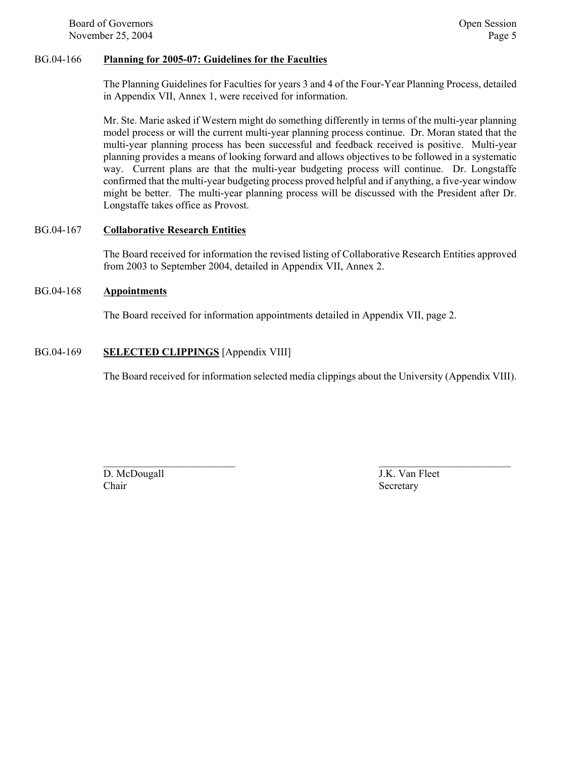#### BG.04-166 **Planning for 2005-07: Guidelines for the Faculties**

The Planning Guidelines for Faculties for years 3 and 4 of the Four-Year Planning Process, detailed in Appendix VII, Annex 1, were received for information.

Mr. Ste. Marie asked if Western might do something differently in terms of the multi-year planning model process or will the current multi-year planning process continue. Dr. Moran stated that the multi-year planning process has been successful and feedback received is positive. Multi-year planning provides a means of looking forward and allows objectives to be followed in a systematic way. Current plans are that the multi-year budgeting process will continue. Dr. Longstaffe confirmed that the multi-year budgeting process proved helpful and if anything, a five-year window might be better. The multi-year planning process will be discussed with the President after Dr. Longstaffe takes office as Provost.

#### BG.04-167 **Collaborative Research Entities**

The Board received for information the revised listing of Collaborative Research Entities approved from 2003 to September 2004, detailed in Appendix VII, Annex 2.

#### BG.04-168 **Appointments**

The Board received for information appointments detailed in Appendix VII, page 2.

#### BG.04-169 **SELECTED CLIPPINGS** [Appendix VIII]

The Board received for information selected media clippings about the University (Appendix VIII).

D. McDougall J.K. Van Fleet Chair Secretary Secretary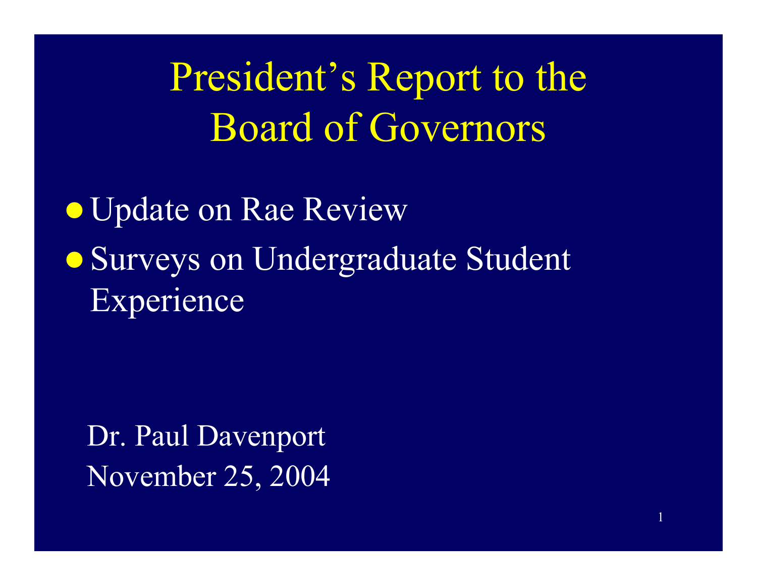<span id="page-5-0"></span>President's Report to the Board of Governors

 $\bullet$  Update on Rae Review **• Surveys on Undergraduate Student** Experience

Dr. Paul Davenport November 25, 2004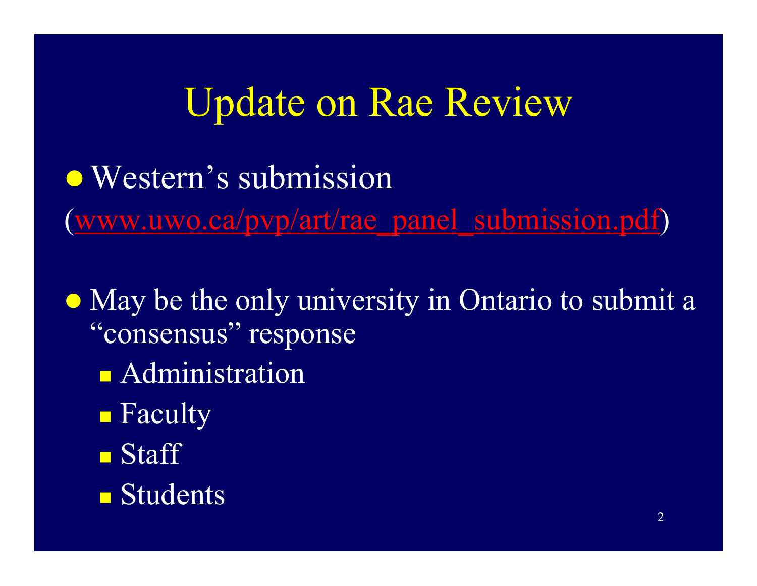# Update on Rae Review

• Western's submission

(www.uwo.ca/pvp/art/rae\_panel\_submission.pdf)

• May be the only university in Ontario to submit a "consensus" response

- **Administration**
- **Faculty**
- **Staff**
- **Students**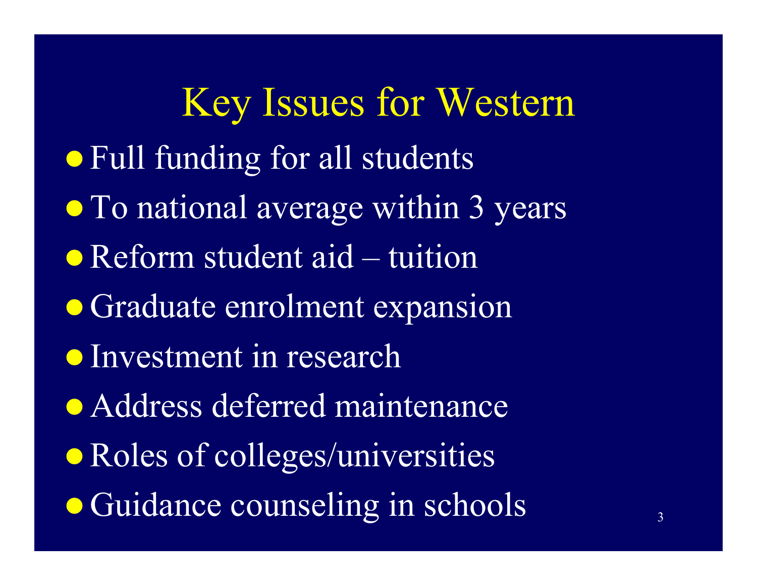## Key Issues for Western

- Full funding for all students
- $\bullet$  To national average within 3 years
- $\bullet$  Reform student aid tuition
- Graduate enrolment expansion
- **Investment in research**
- Address deferred maintenance
- Roles of colleges/universities
- Guidance counseling in schools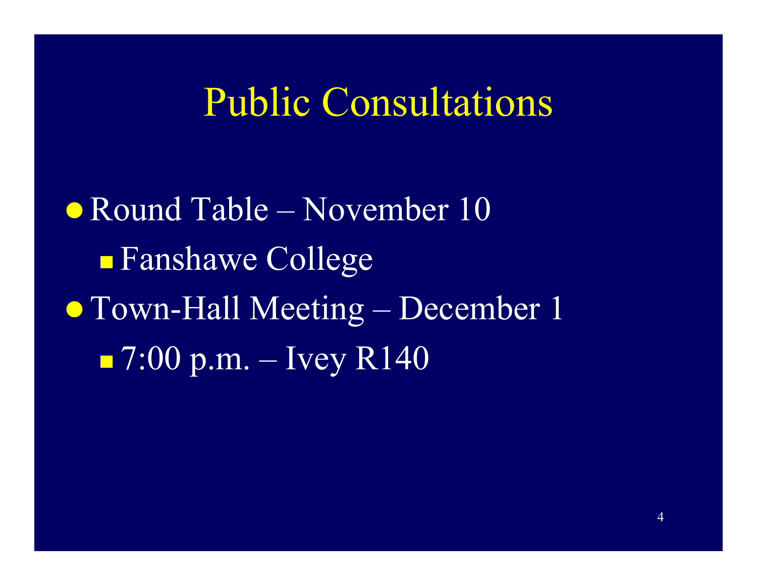## Public Consultations

• Round Table – November 10 Fanshawe College • Town-Hall Meeting – December 1 **-** 7:00 p.m. – Ivey R140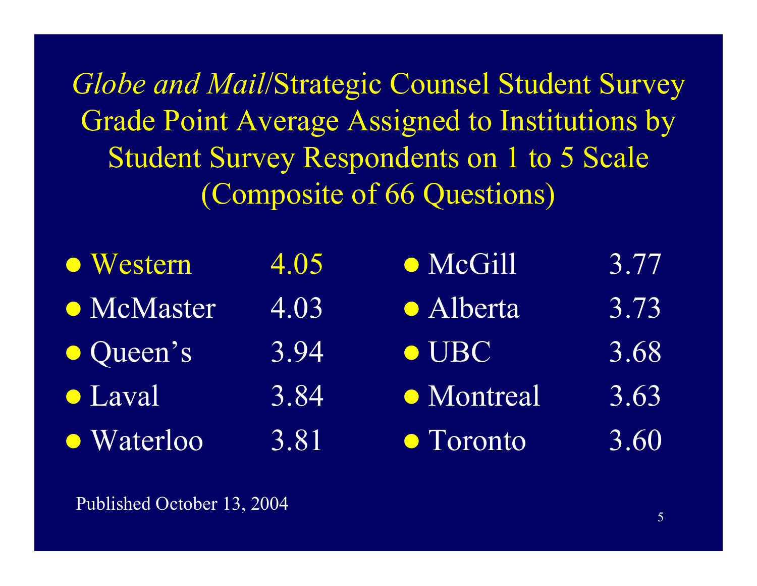*Globe and Mail*/Strategic Counsel Student Survey Grade Point Average Assigned to Institutions by Student Survey Respondents on 1 to 5 Scale (Composite of 66 Questions)

| · Western  | 4.05 | • McGill      | 3.77 |
|------------|------|---------------|------|
| • McMaster | 4.03 | • Alberta     | 3.73 |
| • Queen's  | 3.94 | $\bullet$ UBC | 3.68 |
| • Laval    | 3.84 | • Montreal    | 3.63 |
| • Waterloo | 3.81 | • Toronto     | 3.60 |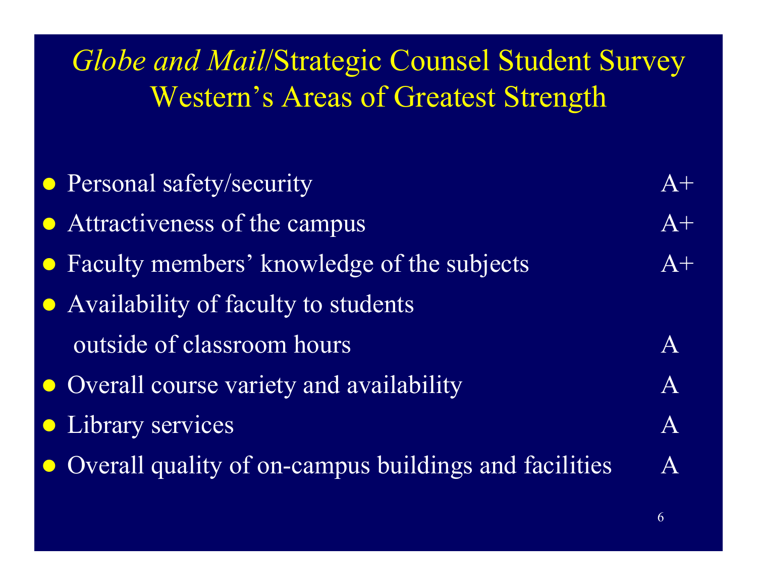### *Globe and Mail*/Strategic Counsel Student Survey Western's Areas of Greatest Strength

| • Personal safety/security                              | $A+$     |
|---------------------------------------------------------|----------|
| Attractiveness of the campus                            | $A+$     |
| • Faculty members' knowledge of the subjects            | $A+$     |
| • Availability of faculty to students                   |          |
| outside of classroom hours                              | $\bm{A}$ |
| • Overall course variety and availability               | $\bm{A}$ |
| · Library services                                      | $\bm{A}$ |
| • Overall quality of on-campus buildings and facilities | A        |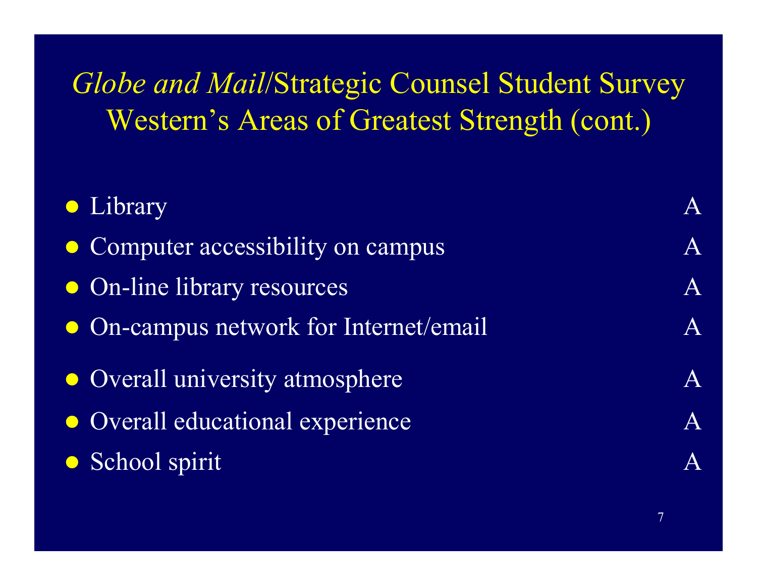*Globe and Mail*/Strategic Counsel Student Survey Western's Areas of Greatest Strength (cont.)

| • Library                              |                   |
|----------------------------------------|-------------------|
| • Computer accessibility on campus     | A                 |
| • On-line library resources            | $\mathsf{A}$      |
| • On-campus network for Internet/email | A                 |
| • Overall university atmosphere        | A                 |
| • Overall educational experience       | A                 |
| • School spirit                        | $\bm{\mathsf{A}}$ |
|                                        |                   |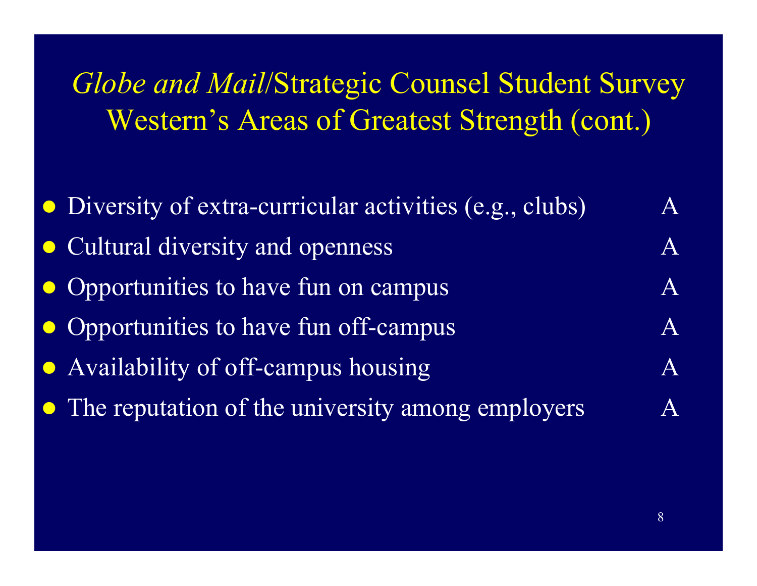## *Globe and Mail*/Strategic Counsel Student Survey Western's Areas of Greatest Strength (cont.)

| • Diversity of extra-curricular activities (e.g., clubs) | $\mathbf{A}$ |
|----------------------------------------------------------|--------------|
| • Cultural diversity and openness                        |              |
| • Opportunities to have fun on campus                    | $\mathsf{A}$ |
| • Opportunities to have fun off-campus                   | $\mathsf{A}$ |
| • Availability of off-campus housing                     | $\mathsf{A}$ |
| • The reputation of the university among employers       |              |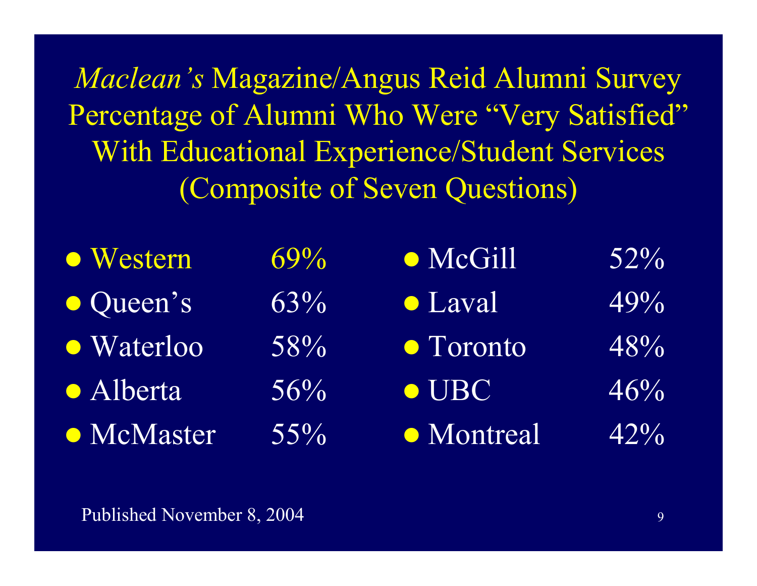*Maclean's* Magazine/Angus Reid Alumni Survey Percentage of Alumni Who Were "Very Satisfied" With Educational Experience/Student Services (Composite of Seven Questions)

| • Western  | $69\%$     | • McGill      | $52\%$ |
|------------|------------|---------------|--------|
| • Queen's  | $63\%$     | • Laval       | 49%    |
| • Waterloo | <b>58%</b> | • Toronto     | 48%    |
| • Alberta  | 56%        | $\bullet$ UBC | 46%    |
| • McMaster | $55\%$     | • Montreal    | $42\%$ |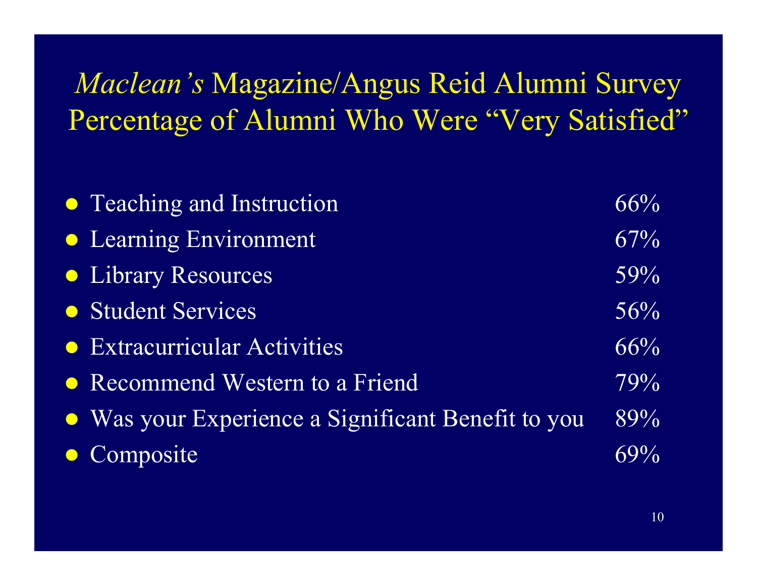## *Maclean's* Magazine/Angus Reid Alumni Survey Percentage of Alumni Who Were "Very Satisfied"

| • Teaching and Instruction                         | 66% |
|----------------------------------------------------|-----|
| • Learning Environment                             | 67% |
| • Library Resources                                | 59% |
| • Student Services                                 | 56% |
| • Extracurricular Activities                       | 66% |
| • Recommend Western to a Friend                    | 79% |
| • Was your Experience a Significant Benefit to you | 89% |
| <b>• Composite</b>                                 | 69% |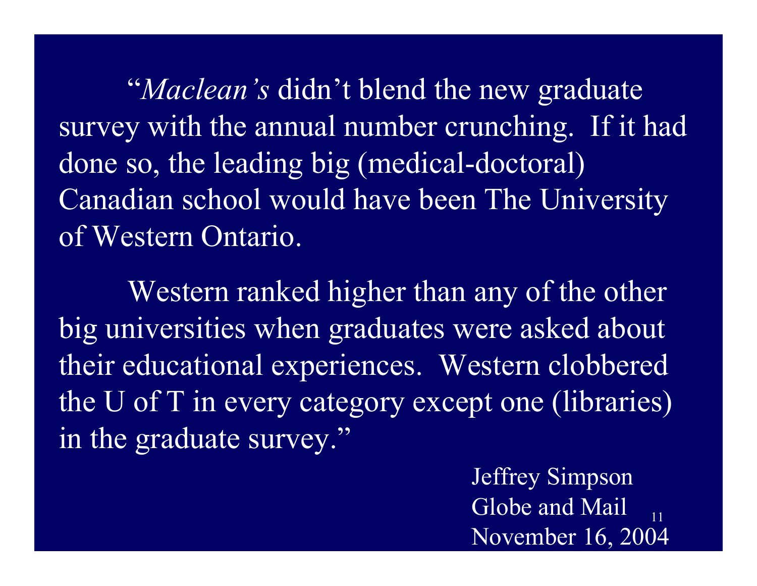"*Maclean's* didn't blend the new graduate survey with the annual number crunching. If it had done so, the leading big (medical-doctoral) Canadian school would have been The University of Western Ontario.

Western ranked higher than any of the other big universities when graduates were asked about their educational experiences. Western clobbered the U of T in every category except one (libraries) in the graduate survey."

> 11Jeffrey Simpson Globe and Mail November 16, 2004